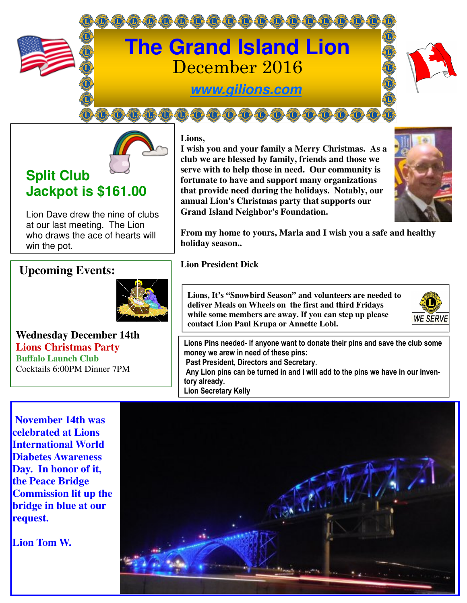



# **Split Club Jackpot is \$161.00**

Lion Dave drew the nine of clubs at our last meeting. The Lion who draws the ace of hearts will win the pot.

## **Upcoming Events:**



**Wednesday December 14th Lions Christmas Party Buffalo Launch Club**  Cocktails 6:00PM Dinner 7PM

**Lions,** 

**I wish you and your family a Merry Christmas. As a club we are blessed by family, friends and those we serve with to help those in need. Our community is fortunate to have and support many organizations that provide need during the holidays. Notably, our annual Lion's Christmas party that supports our Grand Island Neighbor's Foundation.** 



**From my home to yours, Marla and I wish you a safe and healthy holiday season..** 

**Lion President Dick** 

**Lions, It's "Snowbird Season" and volunteers are needed to deliver Meals on Wheels on the first and third Fridays while some members are away. If you can step up please contact Lion Paul Krupa or Annette Lobl.** 



**Lions Pins needed- If anyone want to donate their pins and save the club some money we arew in need of these pins: Past President, Directors and Secretary. Any Lion pins can be turned in and I will add to the pins we have in our inventory already. Lion Secretary Kelly** 

 **November 14th was celebrated at Lions International World Diabetes Awareness Day. In honor of it, the Peace Bridge Commission lit up the bridge in blue at our request.** 

**Lion Tom W.** 

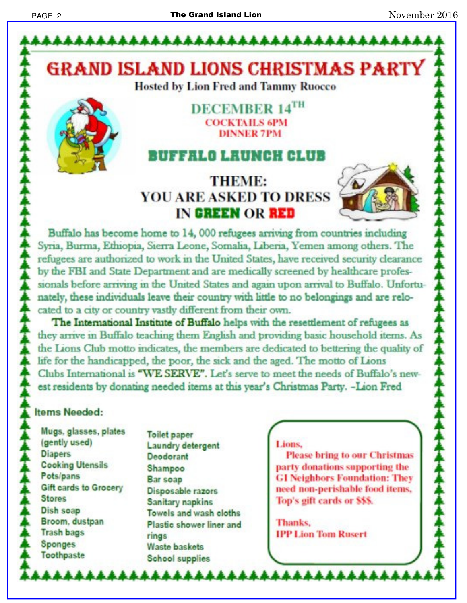**GRAND ISLAND LIONS CHRISTMAS PARTY Hosted by Lion Fred and Tammy Ruocco** 

## DECEMBER 14TH **COCKTAH S 6PM DINNER 7PM**

# FFALO LAUNCH CLUB

# **THEME: YOU ARE ASKED TO DRESS** IN GREEN OR RED



Buffalo has become home to 14, 000 refugees arriving from countries including Syria, Burma, Ethiopia, Sierra Leone, Somalia, Liberia, Yemen among others. The refugees are authorized to work in the United States, have received security clearance by the FBI and State Department and are medically screened by healthcare professionals before arriving in the United States and again upon arrival to Buffalo. Unfortunately, these individuals leave their country with little to no belongings and are relocated to a city or country vastly different from their own.

The International Institute of Buffalo helps with the resettlement of refugees as they arrive in Buffalo teaching them English and providing basic household items. As the Lions Club motto indicates, the members are dedicated to bettering the quality of life for the handicapped, the poor, the sick and the aged. The motto of Lions Clubs International is "WE SERVE". Let's serve to meet the needs of Buffalo's newest residents by donating needed items at this year's Christmas Party. -Lion Fred

## tems Needed:

- Mugs, glasses, plates (gently used) **Diapers Cooking Utensils** Pots/pans Gift cards to Grocery **Stores** Dish soap Broom, dustpan **Trash bags Sponges** Toothpaste
- **Toilet paper** Laundry detergent Deodorant Shampoo **Bar soap** Disposable razors Sanitary napkins Towels and wash cloths Plastic shower liner and **rings** Waste baskets **School supplies**

#### Lions.

**AAAAAAAAAAAAAAAAAA** 

**Please bring to our Christmas** party donations supporting the **GI Neighbors Foundation: They** need non-perishable food items, Top's gift cards or \$\$\$.

Thanks. **IPP Lion Tom Rusert**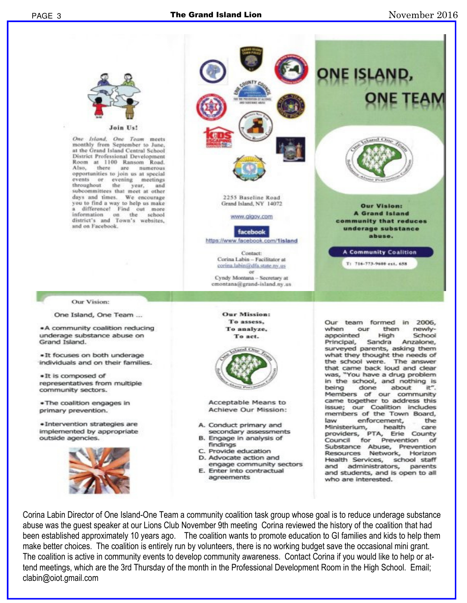PAGE 3



Join

One Island, One Team meets monthly from September to June, at the Grand Island Central School District Professional Development Room at 1100 Ransom Road.<br>Also, there are numerous numerous opportunities to join us at special events or evening meetings<br>throughout the year, and subcommittees that meet at other days and times. We encourage you to find a way to help us make difference! Find out more information on the school<br>district's and Town's websites, and on Facebook.



One Island, One Team ...

.A community coalition reducing underage substance abuse on Grand Island.

. It focuses on both underage individuals and on their families.

. It is composed of representatives from multiple community sectors.

. The coalition engages in primary prevention.

· Intervention strategies are implemented by appropriate outside agencies.





2255 Baseline Road Grand Island, NY 14072

www.gigov.com

facebook https://www.facebook.com/1island

> Contact: Corina Labin -- Facilitator at corina.labin@dfa.state.nv.us **Off**

Cyndy Montana - Secretary at emontana@grand-island.ny.us

> **Our Mission:** To assess, To analyze, To act.



Acceptable Means to Achieve Our Mission:

- A. Conduct primary and secondary assessments B. Engage in analysis of
- findings
- C. Provide education
- D. Advocate action and
- engage community sectors E. Enter into contractual agreements

Our team formed in 2006, when our then newlyappointed High School Principal. Sandra Anzalone. surveyed parents, asking them what they thought the needs of the school were. The answer that came back loud and clear was, "You have a drug problem in the school, and nothing is being done about it". Members of our community came together to address this issue; our Coalition includes members of the Town Board, enforcement, law the Ministerium, health care providers, PTA, Erie County Council for Prevention of Substance Abuse, Prevention Resources Network, Horizon Health Services, school staff and administrators, parents and students, and is open to all who are interested.

**Our Vision:** 

**A** Grand Island

community that reduces

underage substance

abuse.

**A Community Coalition** 

T: 716-773-9600 ext. 658

Corina Labin Director of One Island-One Team a community coalition task group whose goal is to reduce underage substance abuse was the guest speaker at our Lions Club November 9th meeting Corina reviewed the history of the coalition that had been established approximately 10 years ago. The coalition wants to promote education to GI families and kids to help them make better choices. The coalition is entirely run by volunteers, there is no working budget save the occasional mini grant. The coalition is active in community events to develop community awareness. Contact Corina if you would like to help or attend meetings, which are the 3rd Thursday of the month in the Professional Development Room in the High School. Email; clabin@oiot.gmail.com